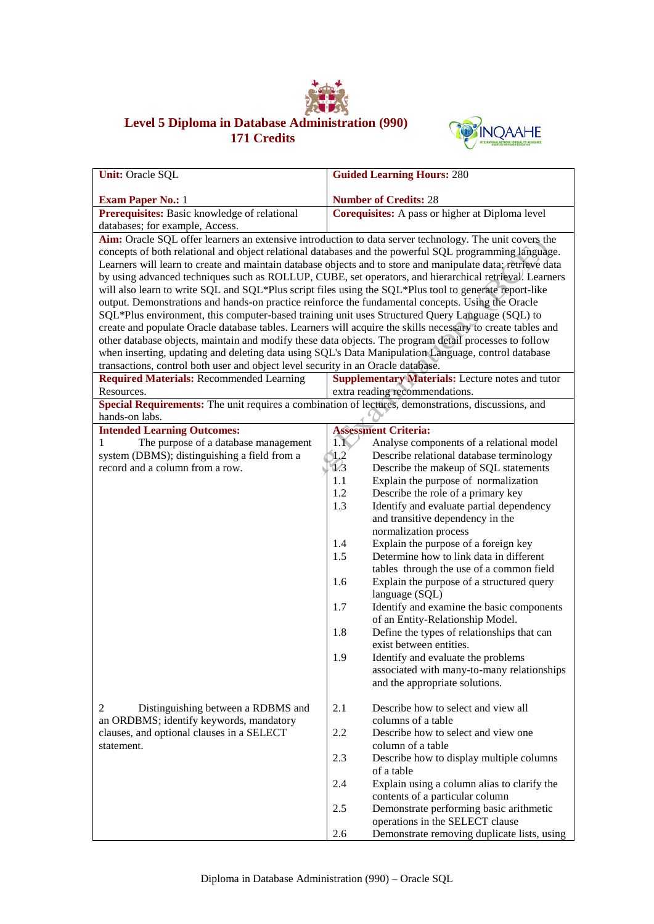

## **Level 5 Diploma in Database Administration (990) 171 Credits**



| <b>Unit: Oracle SQL</b>                                                                                | <b>Guided Learning Hours: 280</b>                                                                           |
|--------------------------------------------------------------------------------------------------------|-------------------------------------------------------------------------------------------------------------|
|                                                                                                        | <b>Number of Credits: 28</b>                                                                                |
| <b>Exam Paper No.: 1</b><br>Prerequisites: Basic knowledge of relational                               | Corequisites: A pass or higher at Diploma level                                                             |
| databases; for example, Access.                                                                        |                                                                                                             |
|                                                                                                        | Aim: Oracle SQL offer learners an extensive introduction to data server technology. The unit covers the     |
|                                                                                                        | concepts of both relational and object relational databases and the powerful SQL programming language.      |
|                                                                                                        | Learners will learn to create and maintain database objects and to store and manipulate data; retrieve data |
|                                                                                                        | by using advanced techniques such as ROLLUP, CUBE, set operators, and hierarchical retrieval. Learners      |
| will also learn to write SQL and SQL*Plus script files using the SQL*Plus tool to generate report-like |                                                                                                             |
| output. Demonstrations and hands-on practice reinforce the fundamental concepts. Using the Oracle      |                                                                                                             |
| SQL*Plus environment, this computer-based training unit uses Structured Query Language (SQL) to        |                                                                                                             |
|                                                                                                        | create and populate Oracle database tables. Learners will acquire the skills necessary to create tables and |
| other database objects, maintain and modify these data objects. The program detail processes to follow |                                                                                                             |
| when inserting, updating and deleting data using SQL's Data Manipulation Language, control database    |                                                                                                             |
| transactions, control both user and object level security in an Oracle database.                       |                                                                                                             |
| <b>Required Materials: Recommended Learning</b>                                                        | <b>Supplementary Materials:</b> Lecture notes and tutor                                                     |
| Resources.                                                                                             | extra reading recommendations.                                                                              |
| Special Requirements: The unit requires a combination of lectures, demonstrations, discussions, and    |                                                                                                             |
| hands-on labs.                                                                                         |                                                                                                             |
| <b>Intended Learning Outcomes:</b>                                                                     | <b>Assessment Criteria:</b>                                                                                 |
| The purpose of a database management<br>1                                                              | $1.1\%$<br>Analyse components of a relational model                                                         |
| system (DBMS); distinguishing a field from a                                                           | 1.2<br>Describe relational database terminology                                                             |
| record and a column from a row.                                                                        | $\overline{1/3}$<br>Describe the makeup of SQL statements                                                   |
|                                                                                                        | Explain the purpose of normalization<br>1.1                                                                 |
|                                                                                                        | 1.2<br>Describe the role of a primary key                                                                   |
|                                                                                                        | 1.3<br>Identify and evaluate partial dependency                                                             |
|                                                                                                        | and transitive dependency in the                                                                            |
|                                                                                                        | normalization process                                                                                       |
|                                                                                                        | Explain the purpose of a foreign key<br>1.4                                                                 |
|                                                                                                        | Determine how to link data in different<br>1.5                                                              |
|                                                                                                        | tables through the use of a common field                                                                    |
|                                                                                                        | Explain the purpose of a structured query<br>1.6                                                            |
|                                                                                                        | language (SQL)<br>1.7                                                                                       |
|                                                                                                        | Identify and examine the basic components<br>of an Entity-Relationship Model.                               |
|                                                                                                        | 1.8<br>Define the types of relationships that can                                                           |
|                                                                                                        | exist between entities.                                                                                     |
|                                                                                                        | 1.9<br>Identify and evaluate the problems                                                                   |
|                                                                                                        | associated with many-to-many relationships                                                                  |
|                                                                                                        | and the appropriate solutions.                                                                              |
|                                                                                                        |                                                                                                             |
| 2<br>Distinguishing between a RDBMS and                                                                | 2.1<br>Describe how to select and view all                                                                  |
| an ORDBMS; identify keywords, mandatory                                                                | columns of a table                                                                                          |
| clauses, and optional clauses in a SELECT                                                              | 2.2<br>Describe how to select and view one                                                                  |
| statement.                                                                                             | column of a table                                                                                           |
|                                                                                                        | 2.3<br>Describe how to display multiple columns                                                             |
|                                                                                                        | of a table                                                                                                  |
|                                                                                                        | 2.4<br>Explain using a column alias to clarify the                                                          |
|                                                                                                        | contents of a particular column                                                                             |
|                                                                                                        | 2.5<br>Demonstrate performing basic arithmetic                                                              |
|                                                                                                        | operations in the SELECT clause                                                                             |
|                                                                                                        | Demonstrate removing duplicate lists, using<br>2.6                                                          |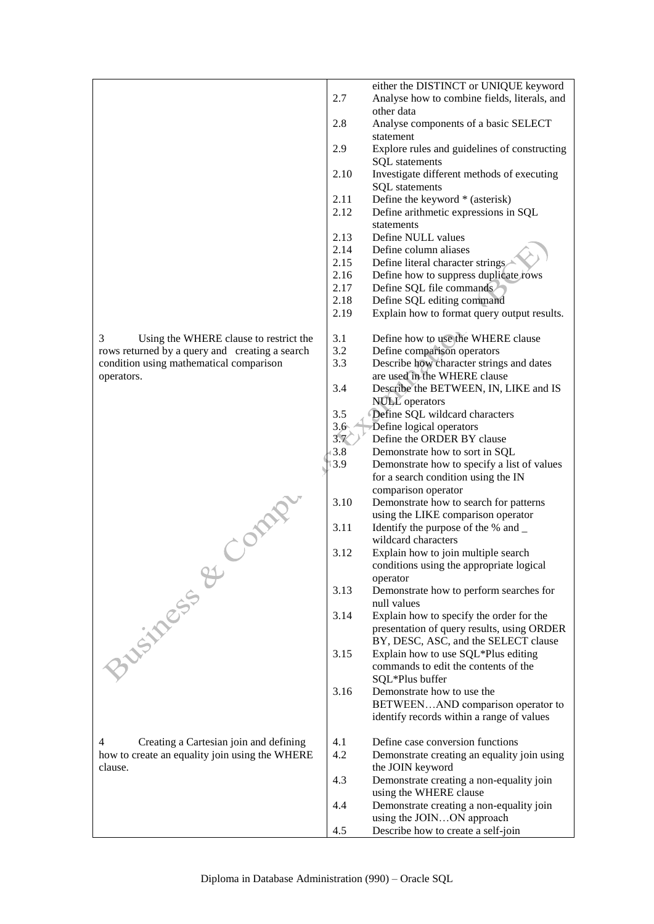|                                                |               | either the DISTINCT or UNIQUE keyword        |
|------------------------------------------------|---------------|----------------------------------------------|
|                                                | 2.7           | Analyse how to combine fields, literals, and |
|                                                |               | other data                                   |
|                                                | 2.8           | Analyse components of a basic SELECT         |
|                                                |               | statement                                    |
|                                                | 2.9           | Explore rules and guidelines of constructing |
|                                                |               | <b>SQL</b> statements                        |
|                                                | 2.10          | Investigate different methods of executing   |
|                                                |               | <b>SQL</b> statements                        |
|                                                | 2.11          | Define the keyword * (asterisk)              |
|                                                | 2.12          | Define arithmetic expressions in SQL         |
|                                                |               | statements                                   |
|                                                | 2.13          | Define NULL values                           |
|                                                | 2.14          | Define column aliases                        |
|                                                | 2.15          | Define literal character strings             |
|                                                | 2.16          | Define how to suppress duplicate rows        |
|                                                | 2.17          | Define SQL file commands                     |
|                                                | 2.18          | Define SQL editing command                   |
|                                                | 2.19          | Explain how to format query output results.  |
|                                                |               |                                              |
| 3<br>Using the WHERE clause to restrict the    | 3.1           | Define how to use the WHERE clause           |
| rows returned by a query and creating a search | 3.2           | Define comparison operators                  |
| condition using mathematical comparison        | 3.3           | Describe how character strings and dates     |
| operators.                                     |               | are used in the WHERE clause                 |
|                                                | 3.4           | Describe the BETWEEN, IN, LIKE and IS        |
|                                                |               | <b>NULL</b> operators                        |
|                                                | 3.5           | Define SQL wildcard characters               |
|                                                | $3.6^{\circ}$ | Define logical operators                     |
|                                                | 3.7           | Define the ORDER BY clause                   |
|                                                | 3.8           | Demonstrate how to sort in SQL               |
|                                                | 3.9           | Demonstrate how to specify a list of values  |
|                                                |               | for a search condition using the IN          |
|                                                |               | comparison operator                          |
| Class                                          | 3.10          | Demonstrate how to search for patterns       |
|                                                |               | using the LIKE comparison operator           |
|                                                | 3.11          | Identify the purpose of the % and _          |
|                                                |               | wildcard characters                          |
|                                                | 3.12          | Explain how to join multiple search          |
|                                                |               | conditions using the appropriate logical     |
|                                                |               | operator                                     |
|                                                | 3.13          | Demonstrate how to perform searches for      |
| <b>BUSINESS &amp;</b>                          |               | null values                                  |
|                                                | 3.14          | Explain how to specify the order for the     |
|                                                |               | presentation of query results, using ORDER   |
|                                                |               | BY, DESC, ASC, and the SELECT clause         |
|                                                | 3.15          | Explain how to use SQL*Plus editing          |
|                                                |               | commands to edit the contents of the         |
|                                                |               | SQL*Plus buffer                              |
|                                                | 3.16          | Demonstrate how to use the                   |
|                                                |               | BETWEENAND comparison operator to            |
|                                                |               | identify records within a range of values    |
|                                                |               |                                              |
| 4<br>Creating a Cartesian join and defining    | 4.1           | Define case conversion functions             |
| how to create an equality join using the WHERE | 4.2           | Demonstrate creating an equality join using  |
| clause.                                        |               | the JOIN keyword                             |
|                                                | 4.3           | Demonstrate creating a non-equality join     |
|                                                | 4.4           | using the WHERE clause                       |
|                                                |               | Demonstrate creating a non-equality join     |
|                                                |               | using the JOINON approach                    |

4.5 Describe how to create a self-join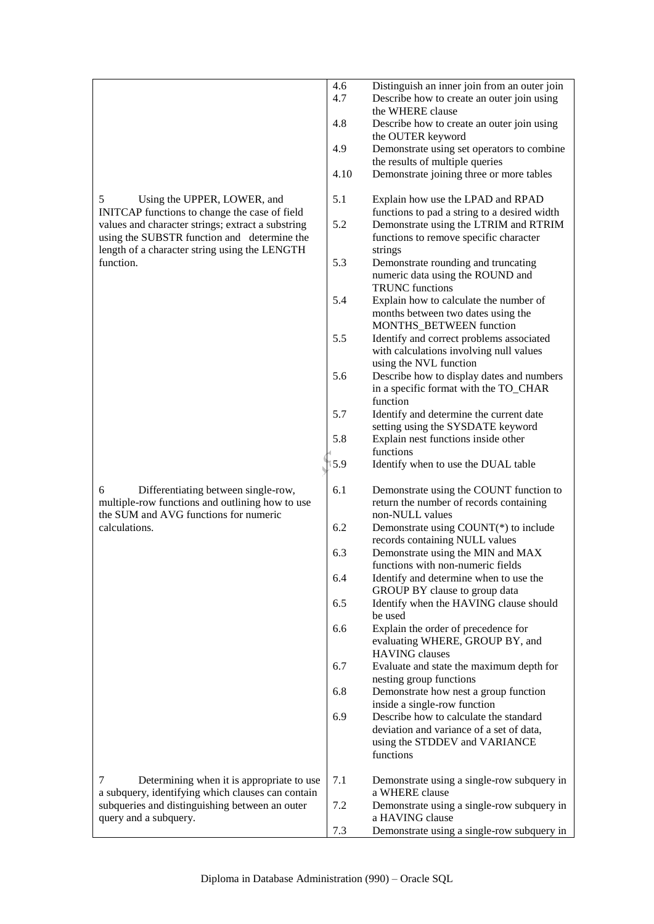|                                                                                                                                                                | 4.6<br>4.7 | Distinguish an inner join from an outer join<br>Describe how to create an outer join using<br>the WHERE clause                   |
|----------------------------------------------------------------------------------------------------------------------------------------------------------------|------------|----------------------------------------------------------------------------------------------------------------------------------|
|                                                                                                                                                                | 4.8        | Describe how to create an outer join using<br>the OUTER keyword                                                                  |
|                                                                                                                                                                | 4.9        | Demonstrate using set operators to combine<br>the results of multiple queries                                                    |
|                                                                                                                                                                | 4.10       | Demonstrate joining three or more tables                                                                                         |
| 5<br>Using the UPPER, LOWER, and<br>INITCAP functions to change the case of field                                                                              | 5.1        | Explain how use the LPAD and RPAD<br>functions to pad a string to a desired width                                                |
| values and character strings; extract a substring<br>using the SUBSTR function and determine the<br>length of a character string using the LENGTH<br>function. | 5.2        | Demonstrate using the LTRIM and RTRIM<br>functions to remove specific character<br>strings                                       |
|                                                                                                                                                                | 5.3        | Demonstrate rounding and truncating<br>numeric data using the ROUND and<br><b>TRUNC</b> functions                                |
|                                                                                                                                                                | 5.4        | Explain how to calculate the number of<br>months between two dates using the<br>MONTHS_BETWEEN function                          |
|                                                                                                                                                                | 5.5        | Identify and correct problems associated<br>with calculations involving null values<br>using the NVL function                    |
|                                                                                                                                                                | 5.6        | Describe how to display dates and numbers<br>in a specific format with the TO_CHAR<br>function                                   |
|                                                                                                                                                                | 5.7        | Identify and determine the current date<br>setting using the SYSDATE keyword                                                     |
|                                                                                                                                                                | 5.8        | Explain nest functions inside other<br>functions                                                                                 |
|                                                                                                                                                                | 5.9        | Identify when to use the DUAL table                                                                                              |
| 6<br>Differentiating between single-row,<br>multiple-row functions and outlining how to use<br>the SUM and AVG functions for numeric                           | 6.1        | Demonstrate using the COUNT function to<br>return the number of records containing<br>non-NULL values                            |
| calculations.                                                                                                                                                  | 6.2        | Demonstrate using $COUNT(*)$ to include<br>records containing NULL values                                                        |
|                                                                                                                                                                | 6.3        | Demonstrate using the MIN and MAX<br>functions with non-numeric fields                                                           |
|                                                                                                                                                                | 6.4        | Identify and determine when to use the<br>GROUP BY clause to group data                                                          |
|                                                                                                                                                                | 6.5        | Identify when the HAVING clause should<br>be used                                                                                |
|                                                                                                                                                                | 6.6        | Explain the order of precedence for<br>evaluating WHERE, GROUP BY, and<br><b>HAVING</b> clauses                                  |
|                                                                                                                                                                | 6.7        | Evaluate and state the maximum depth for<br>nesting group functions                                                              |
|                                                                                                                                                                | 6.8        | Demonstrate how nest a group function<br>inside a single-row function                                                            |
|                                                                                                                                                                | 6.9        | Describe how to calculate the standard<br>deviation and variance of a set of data,<br>using the STDDEV and VARIANCE<br>functions |
| 7<br>Determining when it is appropriate to use<br>a subquery, identifying which clauses can contain                                                            | 7.1        | Demonstrate using a single-row subquery in<br>a WHERE clause                                                                     |
| subqueries and distinguishing between an outer<br>query and a subquery.                                                                                        | 7.2        | Demonstrate using a single-row subquery in<br>a HAVING clause                                                                    |
|                                                                                                                                                                | 7.3        | Demonstrate using a single-row subquery in                                                                                       |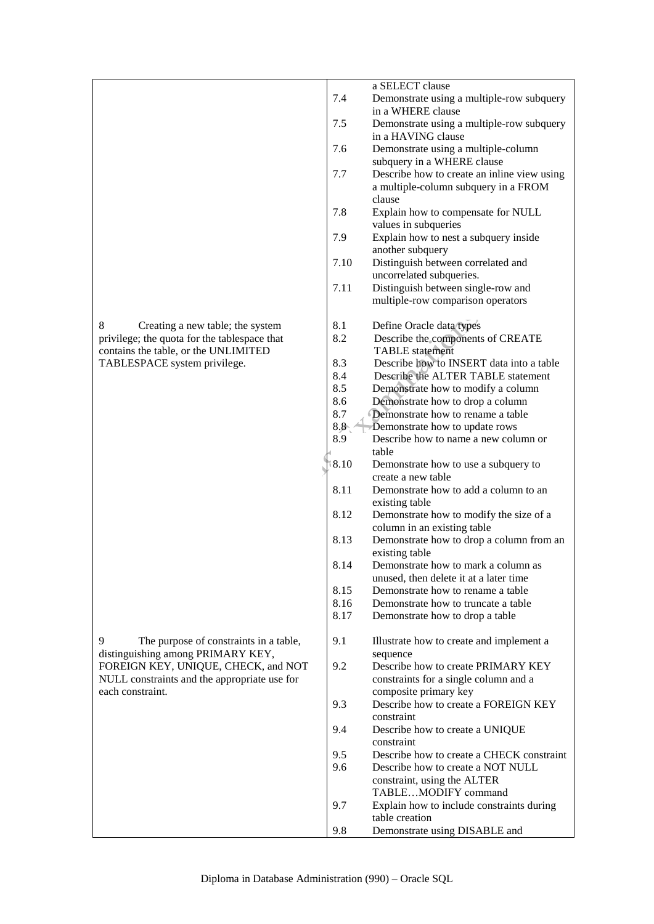|                                              |               | a SELECT clause                                                        |
|----------------------------------------------|---------------|------------------------------------------------------------------------|
|                                              | 7.4           | Demonstrate using a multiple-row subquery                              |
|                                              |               | in a WHERE clause                                                      |
|                                              | 7.5           | Demonstrate using a multiple-row subquery                              |
|                                              |               | in a HAVING clause                                                     |
|                                              | 7.6           | Demonstrate using a multiple-column                                    |
|                                              |               | subquery in a WHERE clause                                             |
|                                              | 7.7           | Describe how to create an inline view using                            |
|                                              |               | a multiple-column subquery in a FROM                                   |
|                                              |               | clause                                                                 |
|                                              | 7.8           | Explain how to compensate for NULL                                     |
|                                              |               | values in subqueries                                                   |
|                                              | 7.9           | Explain how to nest a subquery inside                                  |
|                                              |               | another subquery                                                       |
|                                              | 7.10          | Distinguish between correlated and                                     |
|                                              |               | uncorrelated subqueries.                                               |
|                                              | 7.11          | Distinguish between single-row and                                     |
|                                              |               | multiple-row comparison operators                                      |
|                                              |               |                                                                        |
| 8<br>Creating a new table; the system        | 8.1           | Define Oracle data types                                               |
| privilege; the quota for the tablespace that | 8.2           | Describe the components of CREATE                                      |
| contains the table, or the UNLIMITED         |               | <b>TABLE</b> statement                                                 |
| TABLESPACE system privilege.                 | 8.3           | Describe how to INSERT data into a table                               |
|                                              | 8.4           | Describe the ALTER TABLE statement                                     |
|                                              | 8.5           | Demonstrate how to modify a column                                     |
|                                              | 8.6           | Demonstrate how to drop a column                                       |
|                                              | 8.7           | Demonstrate how to rename a table                                      |
|                                              | $8.8^{\circ}$ | Demonstrate how to update rows                                         |
|                                              | 8.9           | Describe how to name a new column or                                   |
|                                              |               | table                                                                  |
|                                              | 8.10          | Demonstrate how to use a subquery to                                   |
|                                              |               | create a new table                                                     |
|                                              | 8.11          | Demonstrate how to add a column to an                                  |
|                                              | 8.12          | existing table                                                         |
|                                              |               | Demonstrate how to modify the size of a<br>column in an existing table |
|                                              | 8.13          | Demonstrate how to drop a column from an                               |
|                                              |               | existing table                                                         |
|                                              | 8.14          | Demonstrate how to mark a column as                                    |
|                                              |               | unused, then delete it at a later time                                 |
|                                              | 8.15          | Demonstrate how to rename a table                                      |
|                                              | 8.16          | Demonstrate how to truncate a table                                    |
|                                              | 8.17          | Demonstrate how to drop a table                                        |
|                                              |               |                                                                        |
| 9<br>The purpose of constraints in a table,  | 9.1           | Illustrate how to create and implement a                               |
| distinguishing among PRIMARY KEY,            |               | sequence                                                               |
| FOREIGN KEY, UNIQUE, CHECK, and NOT          | 9.2           | Describe how to create PRIMARY KEY                                     |
| NULL constraints and the appropriate use for |               | constraints for a single column and a                                  |
| each constraint.                             |               | composite primary key                                                  |
|                                              | 9.3           | Describe how to create a FOREIGN KEY                                   |
|                                              |               | constraint                                                             |
|                                              | 9.4           | Describe how to create a UNIQUE                                        |
|                                              |               | constraint                                                             |
|                                              | 9.5           | Describe how to create a CHECK constraint                              |
|                                              | 9.6           | Describe how to create a NOT NULL                                      |
|                                              |               | constraint, using the ALTER                                            |
|                                              |               | TABLEMODIFY command                                                    |
|                                              | 9.7           | Explain how to include constraints during                              |
|                                              |               | table creation                                                         |
|                                              | 9.8           | Demonstrate using DISABLE and                                          |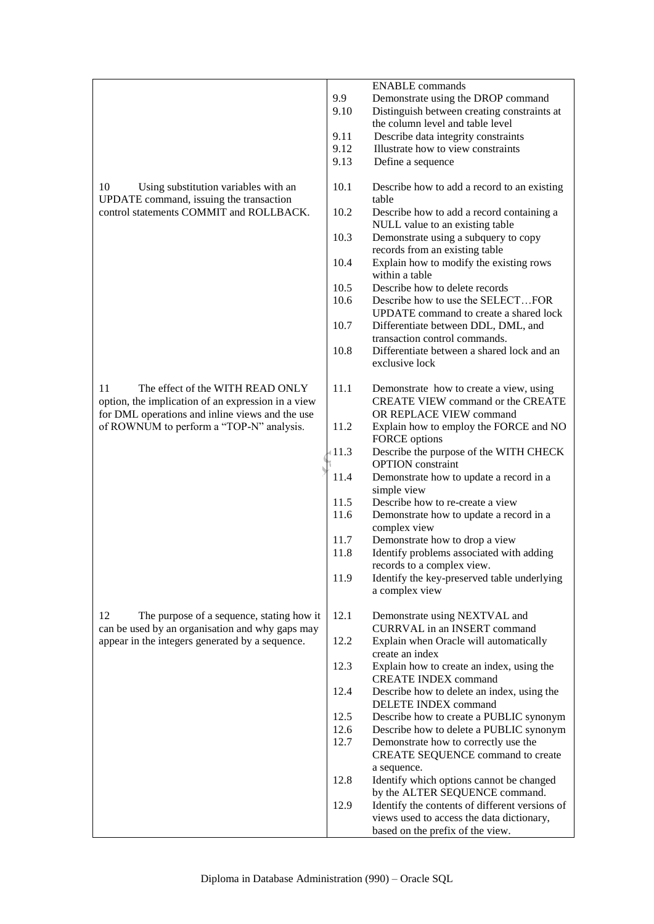|                                                                                                    |              | <b>ENABLE</b> commands                                                                    |
|----------------------------------------------------------------------------------------------------|--------------|-------------------------------------------------------------------------------------------|
|                                                                                                    | 9.9          | Demonstrate using the DROP command                                                        |
|                                                                                                    | 9.10         | Distinguish between creating constraints at<br>the column level and table level           |
|                                                                                                    | 9.11         | Describe data integrity constraints                                                       |
|                                                                                                    | 9.12         | Illustrate how to view constraints                                                        |
|                                                                                                    | 9.13         | Define a sequence                                                                         |
| 10<br>Using substitution variables with an<br>UPDATE command, issuing the transaction              | 10.1         | Describe how to add a record to an existing<br>table                                      |
| control statements COMMIT and ROLLBACK.                                                            | 10.2         | Describe how to add a record containing a<br>NULL value to an existing table              |
|                                                                                                    | 10.3         | Demonstrate using a subquery to copy<br>records from an existing table                    |
|                                                                                                    | 10.4         | Explain how to modify the existing rows<br>within a table                                 |
|                                                                                                    | 10.5         | Describe how to delete records                                                            |
|                                                                                                    | 10.6         | Describe how to use the SELECTFOR<br>UPDATE command to create a shared lock               |
|                                                                                                    | 10.7         | Differentiate between DDL, DML, and<br>transaction control commands.                      |
|                                                                                                    | 10.8         | Differentiate between a shared lock and an<br>exclusive lock                              |
| 11<br>The effect of the WITH READ ONLY<br>option, the implication of an expression in a view       | 11.1         | Demonstrate how to create a view, using<br>CREATE VIEW command or the CREATE              |
| for DML operations and inline views and the use<br>of ROWNUM to perform a "TOP-N" analysis.        | 11.2         | OR REPLACE VIEW command<br>Explain how to employ the FORCE and NO<br><b>FORCE</b> options |
|                                                                                                    | (11.3)       | Describe the purpose of the WITH CHECK<br><b>OPTION</b> constraint                        |
|                                                                                                    | 11.4         | Demonstrate how to update a record in a                                                   |
|                                                                                                    | 11.5         | simple view<br>Describe how to re-create a view                                           |
|                                                                                                    | 11.6         | Demonstrate how to update a record in a                                                   |
|                                                                                                    |              | complex view                                                                              |
|                                                                                                    | 11.7<br>11.8 | Demonstrate how to drop a view<br>Identify problems associated with adding                |
|                                                                                                    | 11.9         | records to a complex view.                                                                |
|                                                                                                    |              | Identify the key-preserved table underlying<br>a complex view                             |
| 12<br>The purpose of a sequence, stating how it<br>can be used by an organisation and why gaps may | 12.1         | Demonstrate using NEXTVAL and<br><b>CURRVAL</b> in an <b>INSERT</b> command               |
| appear in the integers generated by a sequence.                                                    | 12.2         | Explain when Oracle will automatically<br>create an index                                 |
|                                                                                                    | 12.3         | Explain how to create an index, using the<br><b>CREATE INDEX command</b>                  |
|                                                                                                    | 12.4         | Describe how to delete an index, using the<br>DELETE INDEX command                        |
|                                                                                                    | 12.5<br>12.6 | Describe how to create a PUBLIC synonym<br>Describe how to delete a PUBLIC synonym        |
|                                                                                                    | 12.7         | Demonstrate how to correctly use the<br>CREATE SEQUENCE command to create                 |
|                                                                                                    |              | a sequence.                                                                               |
|                                                                                                    | 12.8         | Identify which options cannot be changed<br>by the ALTER SEQUENCE command.                |
|                                                                                                    | 12.9         | Identify the contents of different versions of                                            |
|                                                                                                    |              | views used to access the data dictionary,                                                 |
|                                                                                                    |              | based on the prefix of the view.                                                          |